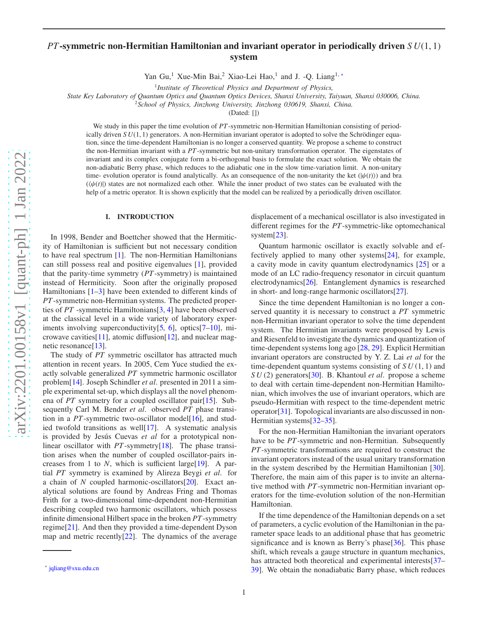# *PT*-symmetric non-Hermitian Hamiltonian and invariant operator in periodically driven *S U*(1, 1) system

Yan Gu,<sup>1</sup> Xue-Min Bai,<sup>2</sup> Xiao-Lei Hao,<sup>1</sup> and J. -Q. Liang<sup>1,\*</sup>

1 *Institute of Theoretical Physics and Department of Physics,*

*State Key Laboratory of Quantum Optics and Quantum Optics Devices, Shanxi University, Taiyuan, Shanxi 030006, China.*

<sup>2</sup>*School of Physics, Jinzhong University, Jinzhong 030619, Shanxi, China.*

(Dated: [])

We study in this paper the time evolution of *PT*-symmetric non-Hermitian Hamiltonian consisting of periodically driven  $SU(1, 1)$  generators. A non-Hermitian invariant operator is adopted to solve the Schrödinger equation, since the time-dependent Hamiltonian is no longer a conserved quantity. We propose a scheme to construct the non-Hermitian invariant with a *PT*-symmetric but non-unitary transformation operator. The eigenstates of invariant and its complex conjugate form a bi-orthogonal basis to formulate the exact solution. We obtain the non-adiabatic Berry phase, which reduces to the adiabatic one in the slow time-variation limit. A non-unitary time- evolution operator is found analytically. As an consequence of the non-unitarity the ket  $(|\psi(t)\rangle)$  and bra  $(\langle \psi(t) \rangle)$  states are not normalized each other. While the inner product of two states can be evaluated with the help of a metric operator. It is shown explicitly that the model can be realized by a periodically driven oscillator.

### I. INTRODUCTION

In 1998, Bender and Boettcher showed that the Hermiticity of Hamiltonian is sufficient but not necessary condition to have real spectrum [\[1](#page-4-0)]. The non-Hermitian Hamiltonians can still possess real and positive eigenvalues [\[1\]](#page-4-0), provided that the parity-time symmetry (*PT*-symmetry) is maintained instead of Hermiticity. Soon after the originally proposed Hamiltonians  $[1-3]$  have been extended to different kinds of *PT*-symmetric non-Hermitian systems. The predicted properties of *PT* -symmetric Hamiltonians[\[3,](#page-4-1) [4\]](#page-4-2) have been observed at the classical level in a wide variety of laboratory experiments involving superconductivity[\[5,](#page-4-3) [6\]](#page-4-4), optics[\[7](#page-4-5)[–10\]](#page-4-6), mi-crowave cavities [\[11\]](#page-4-7), atomic diffusion [\[12\]](#page-4-8), and nuclear mag-netic resonance<sup>[\[13](#page-4-9)]</sup>.

The study of *PT* symmetric oscillator has attracted much attention in recent years. In 2005, Cem Yuce studied the exactly solvable generalized *PT* symmetric harmonic oscillator problem[\[14\]](#page-4-10). Joseph Schindler *et al*. presented in 2011 a simple experimental set-up, which displays all the novel phenomena of *PT* symmetry for a coupled oscillator pair[\[15\]](#page-4-11). Subsequently Carl M. Bender *et al*. observed *PT* phase transition in a *PT*-symmetric two-oscillator model<sup>[\[16\]](#page-4-12)</sup>, and studied twofold transitions as well[\[17\]](#page-4-13). A systematic analysis is provided by Jesús Cuevas *et al* for a prototypical nonlinear oscillator with *PT*-symmetry<sup>[\[18\]](#page-4-14)</sup>. The phase transition arises when the number of coupled oscillator-pairs increases from 1 to *N*, which is sufficient large[\[19\]](#page-4-15). A partial *PT* symmetry is examined by Alireza Beygi *et al*. for a chain of *N* coupled harmonic-oscillators[\[20\]](#page-4-16). Exact analytical solutions are found by Andreas Fring and Thomas Frith for a two-dimensional time-dependent non-Hermitian describing coupled two harmonic oscillators, which possess infinite dimensional Hilbert space in the broken *PT*-symmetry regime[\[21\]](#page-4-17). And then they provided a time-dependent Dyson map and metric recently[\[22\]](#page-4-18). The dynamics of the average

displacement of a mechanical oscillator is also investigated in different regimes for the *PT*-symmetric-like optomechanical system[\[23\]](#page-4-19).

Quantum harmonic oscillator is exactly solvable and effectively applied to many other systems[\[24\]](#page-4-20), for example, a cavity mode in cavity quantum electrodynamics [\[25\]](#page-4-21) or a mode of an LC radio-frequency resonator in circuit quantum electrodynamics[\[26\]](#page-4-22). Entanglement dynamics is researched in short- and long-range harmonic oscillators[\[27\]](#page-4-23).

Since the time dependent Hamiltonian is no longer a conserved quantity it is necessary to construct a *PT* symmetric non-Hermitian invariant operator to solve the time dependent system. The Hermitian invariants were proposed by Lewis and Riesenfeld to investigate the dynamics and quantization of time-dependent systems long ago [\[28,](#page-4-24) [29](#page-4-25)]. Explicit Hermitian invariant operators are constructed by Y. Z. Lai *et al* for the time-dependent quantum systems consisting of *S U* (1, 1) and *S U* (2) generators[\[30\]](#page-4-26). B. Khantoul *et al*. propose a scheme to deal with certain time-dependent non-Hermitian Hamiltonian, which involves the use of invariant operators, which are pseudo-Hermitian with respect to the time-dependent metric operator[\[31\]](#page-4-27). Topological invariants are also discussed in non-Hermitian systems[\[32](#page-4-28)-35].

For the non-Hermitian Hamiltonian the invariant operators have to be *PT*-symmetric and non-Hermitian. Subsequently *PT*-symmetric transformations are required to construct the invariant operators instead of the usual unitary transformation in the system described by the Hermitian Hamiltonian [\[30](#page-4-26)]. Therefore, the main aim of this paper is to invite an alternative method with *PT*-symmetric non-Hermitian invariant operators for the time-evolution solution of the non-Hermitian Hamiltonian.

If the time dependence of the Hamiltonian depends on a set of parameters, a cyclic evolution of the Hamiltonian in the parameter space leads to an additional phase that has geometric significance and is known as Berry's phase[\[36\]](#page-4-30). This phase shift, which reveals a gauge structure in quantum mechanics, has attracted both theoretical and experimental interests[\[37](#page-4-31)– [39](#page-4-32)]. We obtain the nonadiabatic Barry phase, which reduces

<span id="page-0-0"></span><sup>∗</sup> [jqliang@sxu.edu.cn](mailto:jqliang@sxu.edu.cn)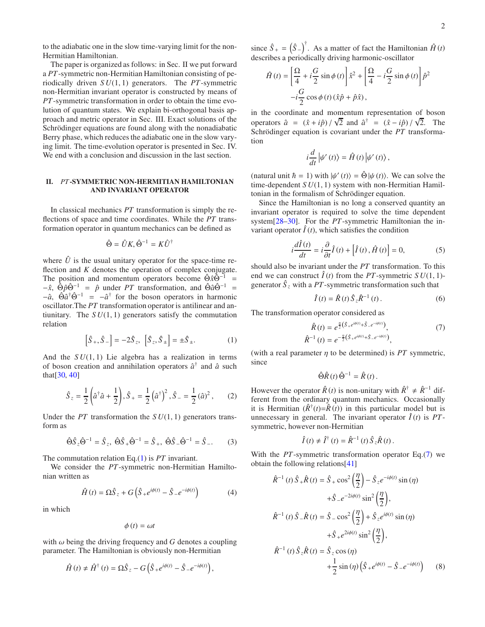to the adiabatic one in the slow time-varying limit for the non-Hermitian Hamiltonian.

The paper is organized as follows: in Sec. II we put forward a *PT*-symmetric non-Hermitian Hamiltonian consisting of periodically driven *S U*(1, 1) generators. The *PT*-symmetric non-Hermitian invariant operator is constructed by means of *PT*-symmetric transformation in order to obtain the time evolution of quantum states. We explain bi-orthogonal basis approach and metric operator in Sec. III. Exact solutions of the Schrödinger equations are found along with the nonadiabatic Berry phase, which reduces the adiabatic one in the slow varying limit. The time-evolution operator is presented in Sec. IV. We end with a conclusion and discussion in the last section.

# II. *PT*-SYMMETRIC NON-HERMITIAN HAMILTONIAN AND INVARIANT OPERATOR

In classical mechanics *PT* transformation is simply the reflections of space and time coordinates. While the *PT* transformation operator in quantum mechanics can be defined as

$$
\hat{\Theta} = \hat{U}K, \hat{\Theta}^{-1} = K\hat{U}^{\dagger}
$$

where  $\hat{U}$  is the usual unitary operator for the space-time reflection and *K* denotes the operation of complex conjugate. The position and momentum operators become  $\hat{\Theta} \hat{x} \hat{\Theta}^{-1}$  =  $-\hat{x}$ ,  $\hat{\Theta} \hat{p} \hat{\Theta}^{-1}$  =  $\hat{p}$  under *PT* transformation, and  $\hat{\Theta} \hat{a} \hat{\Theta}^{-1}$  =  $-\hat{a}$ ,  $\hat{\Theta}\hat{a}^{\dagger}\hat{\Theta}^{-1} = -\hat{a}^{\dagger}$  for the boson operators in harmonic oscillator.The *PT* transformation operator is antilinear and antiunitary. The  $SU(1, 1)$  generators satisfy the commutation relation

<span id="page-1-0"></span>
$$
\left[\hat{S}_+,\hat{S}_-\right] = -2\hat{S}_z, \quad \left[\hat{S}_z,\hat{S}_\pm\right] = \pm \hat{S}_\pm. \tag{1}
$$

And the  $SU(1, 1)$  Lie algebra has a realization in terms of boson creation and annihilation operators  $\hat{a}^{\dagger}$  and  $\hat{a}$  such that $[30, 40]$  $[30, 40]$  $[30, 40]$  $[30, 40]$ 

$$
\hat{S}_z = \frac{1}{2} \left( \hat{a}^\dagger \hat{a} + \frac{1}{2} \right), \hat{S}_+ = \frac{1}{2} \left( \hat{a}^\dagger \right)^2, \hat{S}_- = \frac{1}{2} \left( \hat{a} \right)^2, \tag{2}
$$

Under the *PT* transformation the  $SU(1, 1)$  generators transform as

$$
\hat{\Theta}\hat{S}_z\hat{\Theta}^{-1} = \hat{S}_z, \ \hat{\Theta}\hat{S}_+\hat{\Theta}^{-1} = \hat{S}_+, \ \hat{\Theta}\hat{S}_-\hat{\Theta}^{-1} = \hat{S}_-. \tag{3}
$$

The commutation relation Eq.[\(1\)](#page-1-0) is *PT* invariant.

We consider the *PT*-symmetric non-Hermitian Hamiltonian written as

$$
\hat{H}(t) = \Omega \hat{S}_z + G \left( \hat{S}_+ e^{i\phi(t)} - \hat{S}_- e^{-i\phi(t)} \right) \tag{4}
$$

in which

$$
\phi(t) = \omega t
$$

with  $\omega$  being the driving frequency and  $G$  denotes a coupling parameter. The Hamiltonian is obviously non-Hermitian

$$
\hat{H}(t) \neq \hat{H}^{\dagger}(t) = \Omega \hat{S}_z - G \left( \hat{S}_+ e^{i\phi(t)} - \hat{S}_- e^{-i\phi(t)} \right),
$$

since  $\hat{S}_{+} = (\hat{S}_{-})^{\dagger}$ . As a matter of fact the Hamiltonian  $\hat{H}(t)$ describes a periodically driving harmonic-oscillator

$$
\hat{H}(t) = \left[\frac{\Omega}{4} + i\frac{G}{2}\sin\phi(t)\right]\hat{x}^2 + \left[\frac{\Omega}{4} - i\frac{G}{2}\sin\phi(t)\right]\hat{p}^2
$$

$$
-i\frac{G}{2}\cos\phi(t)(\hat{x}\hat{p} + \hat{p}\hat{x}),
$$

in the coordinate and momentum representation of boson operators  $\hat{a} = (\hat{x} + i\hat{p}) / \sqrt{2}$  and  $\hat{a}^{\dagger} = (\hat{x} - i\hat{p}) / \sqrt{2}$ . The Schrödinger equation is covariant under the *PT* transformation

$$
i\frac{d}{dt}\left|\psi'(t)\right\rangle = \hat{H}(t)\left|\psi'(t)\right\rangle,
$$

(natural unit  $\hbar = 1$ ) with  $|\psi'(t)\rangle = \hat{\Theta} |\psi(t)\rangle$ . We can solve the time-dependent *S U*(1, 1) system with non-Hermitian Hamiltonian in the formalism of Schrödinger equation.

Since the Hamiltonian is no long a conserved quantity an invariant operator is required to solve the time dependent system[\[28](#page-4-24)[–30\]](#page-4-26). For the *PT*-symmetric Hamiltonian the invariant operator  $\hat{I}(t)$ , which satisfies the condition

<span id="page-1-2"></span>
$$
i\frac{d\hat{I}(t)}{dt} = i\frac{\partial}{\partial t}\hat{I}(t) + \left[\hat{I}(t), \hat{H}(t)\right] = 0,\tag{5}
$$

should also be invariant under the *PT* transformation. To this end we can construct  $\hat{I}(t)$  from the *PT*-symmetric *SU*(1, 1)generator  $\hat{S}_z$  with a PT-symmetric transformation such that

<span id="page-1-3"></span>
$$
\hat{I}(t) = \hat{R}(t)\hat{S}_z\hat{R}^{-1}(t).
$$
 (6)

The transformation operator considered as

<span id="page-1-1"></span>
$$
\hat{R}(t) = e^{\frac{\eta}{2}(\hat{S}_{+}e^{i\phi(t)} + \hat{S}_{-}e^{-i\phi(t)})},
$$
\n(7)\n
$$
\hat{R}^{-1}(t) = e^{-\frac{\eta}{2}(\hat{S}_{+}e^{i\phi(t)} + \hat{S}_{-}e^{-i\phi(t)})},
$$

(with a real parameter  $\eta$  to be determined) is *PT* symmetric, since

$$
\hat{\Theta}\hat{R}(t)\hat{\Theta}^{-1}=\hat{R}(t).
$$

However the operator  $\hat{R}(t)$  is non-unitary with  $\hat{R}^{\dagger} \neq \hat{R}^{-1}$  different from the ordinary quantum mechanics. Occasionally it is Hermitian  $(\hat{R}^{\dagger}(t) = \hat{R}(t))$  in this particular model but is unnecessary in general. The invariant operator  $\hat{I}(t)$  is  $PT$ symmetric, however non-Hermitian

$$
\hat{I}(t) \neq \hat{I}^{\dagger}(t) = \hat{R}^{-1}(t) \hat{S}_z \hat{R}(t).
$$

With the *PT*-symmetric transformation operator Eq.[\(7\)](#page-1-1) we obtain the following relations[\[41\]](#page-4-34)

<span id="page-1-4"></span>
$$
\hat{R}^{-1}(t)\hat{S}_{+}\hat{R}(t) = \hat{S}_{+}\cos^{2}\left(\frac{\eta}{2}\right) - \hat{S}_{z}e^{-i\phi(t)}\sin(\eta)
$$

$$
+\hat{S}_{-}e^{-2i\phi(t)}\sin^{2}\left(\frac{\eta}{2}\right),
$$

$$
\hat{R}^{-1}(t)\hat{S}_{-}\hat{R}(t) = \hat{S}_{-}\cos^{2}\left(\frac{\eta}{2}\right) + \hat{S}_{z}e^{i\phi(t)}\sin(\eta)
$$

$$
+\hat{S}_{+}e^{2i\phi(t)}\sin^{2}\left(\frac{\eta}{2}\right),
$$

$$
\hat{R}^{-1}(t)\hat{S}_{z}\hat{R}(t) = \hat{S}_{z}\cos(\eta)
$$

$$
+\frac{1}{2}\sin(\eta)\left(\hat{S}_{+}e^{i\phi(t)} - \hat{S}_{-}e^{-i\phi(t)}\right) \tag{8}
$$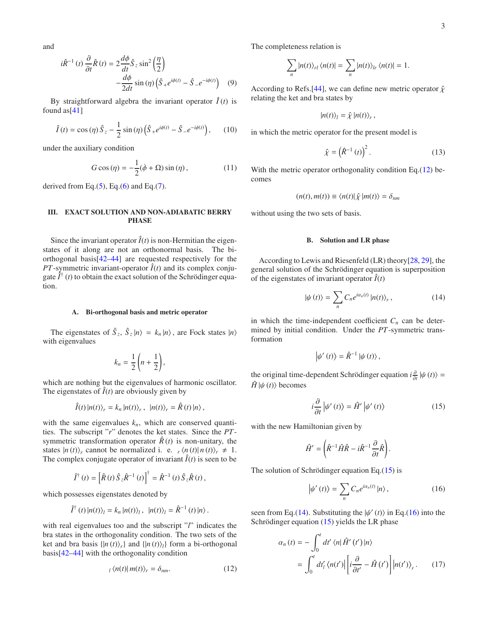and

<span id="page-2-4"></span>
$$
i\hat{R}^{-1}(t)\frac{\partial}{\partial t}\hat{R}(t) = 2\frac{d\phi}{dt}\hat{S}_z\sin^2\left(\frac{\eta}{2}\right) -\frac{d\phi}{2dt}\sin\left(\eta\right)\left(\hat{S}_+e^{i\phi(t)} - \hat{S}_-e^{-i\phi(t)}\right) \quad (9)
$$

By straightforward algebra the invariant operator  $\hat{I}(t)$  is found as  $[41]$  $[41]$ 

$$
\hat{I}(t) = \cos(\eta)\,\hat{S}_z - \frac{1}{2}\sin(\eta)\left(\hat{S}_+e^{i\phi(t)} - \hat{S}_-e^{-i\phi(t)}\right),\qquad(10)
$$

under the auxiliary condition

<span id="page-2-5"></span>
$$
G\cos\left(\eta\right) = -\frac{1}{2}(\dot{\phi} + \Omega)\sin\left(\eta\right),\tag{11}
$$

derived from Eq. $(5)$ , Eq. $(6)$  and Eq. $(7)$ .

### III. EXACT SOLUTION AND NON-ADIABATIC BERRY PHASE

Since the invariant operator  $\hat{I}(t)$  is non-Hermitian the eigenstates of it along are not an orthonormal basis. The biorthogonal basis[\[42](#page-4-35)[–44](#page-4-36)] are requested respectively for the *PT*-symmetric invariant-operator  $\hat{I}(t)$  and its complex conjugate  $\hat{I}^{\dagger}$  (*t*) to obtain the exact solution of the Schrödinger equation.

#### A. Bi-orthogonal basis and metric operator

The eigenstates of  $\hat{S}_z$ ,  $\hat{S}_z$   $|n\rangle = k_n |n\rangle$ , are Fock states  $|n\rangle$ with eigenvalues

$$
k_n = \frac{1}{2} \left( n + \frac{1}{2} \right),
$$

which are nothing but the eigenvalues of harmonic oscillator. The eigenstates of  $\hat{I}(t)$  are obviously given by

$$
\hat{I}(t) |n(t)\rangle_r = k_n |n(t)\rangle_r, |n(t)\rangle_r = \hat{R}(t) |n\rangle,
$$

with the same eigenvalues  $k_n$ , which are conserved quantities. The subscript "*r*" denotes the ket states. Since the *PT*symmetric transformation operator  $\hat{R}(t)$  is non-unitary, the states  $|n(t)\rangle_r$  cannot be normalized i. e.  $r \langle n(t)|n(t)\rangle_r \neq 1$ . The complex conjugate operator of invariant  $\hat{I}(t)$  is seen to be

$$
\hat{I}^{\dagger}(t) = \left[\hat{R}(t)\hat{S}_z\hat{R}^{-1}(t)\right]^{\dagger} = \hat{R}^{-1}(t)\hat{S}_z\hat{R}(t),
$$

which possesses eigenstates denoted by

$$
\hat{I}^{\dagger}(t) |n(t)\rangle_l = k_n |n(t)\rangle_l, \ \ |n(t)\rangle_l = \hat{R}^{-1}(t) |n\rangle.
$$

with real eigenvalues too and the subscript "*l*" indicates the bra states in the orthogonality condition. The two sets of the ket and bra basis  $\{|n(t)\rangle_r\}$  and  $\{|n(t)\rangle_l\}$  form a bi-orthogonal basis[\[42](#page-4-35)[–44](#page-4-36)] with the orthogonality condition

<span id="page-2-0"></span>
$$
_{l}\langle n(t)|m(t)\rangle_{r}=\delta_{nm}.\tag{12}
$$

The completeness relation is

$$
\sum_{n} |n(t)\rangle_{rl} \langle n(t)| = \sum_{n} |n(t)\rangle_{lr} \langle n(t)| = 1.
$$

According to Refs.[\[44\]](#page-4-36), we can define new metric operator  $\hat{\chi}$ relating the ket and bra states by

$$
|n(t)\rangle_l=\hat{\chi}\,|n(t)\rangle_r\,,
$$

in which the metric operator for the present model is

$$
\hat{\chi} = \left(\hat{R}^{-1}\left(t\right)\right)^2. \tag{13}
$$

With the metric operator orthogonality condition Eq.[\(12\)](#page-2-0) becomes

$$
(n(t),m(t)) \equiv \langle n(t)|\hat{\chi}|m(t)\rangle = \delta_{nm}
$$

without using the two sets of basis.

### B. Solution and LR phase

According to Lewis and Riesenfeld (LR) theory[\[28,](#page-4-24) [29](#page-4-25)], the general solution of the Schrödinger equation is superposition of the eigenstates of invariant operator  $\hat{I}(t)$ 

<span id="page-2-2"></span>
$$
|\psi(t)\rangle = \sum_{n} C_{n} e^{i\alpha_{n}(t)} |n(t)\rangle_{r}, \qquad (14)
$$

in which the time-independent coefficient  $C_n$  can be determined by initial condition. Under the *PT*-symmetric transformation

$$
\left|\psi'(t)\right\rangle = \hat{R}^{-1} \left|\psi(t)\right\rangle,
$$

the original time-dependent Schrödinger equation  $i \frac{\partial}{\partial t} |\psi(t)\rangle =$  $\hat{H}$   $|\psi(t)\rangle$  becomes

<span id="page-2-1"></span>
$$
i\frac{\partial}{\partial t}|\psi'(t)\rangle = \hat{H}'|\psi'(t)\rangle
$$
 (15)

with the new Hamiltonian given by

$$
\hat{H}' = \left(\hat{R}^{-1}\hat{H}\hat{R} - i\hat{R}^{-1}\frac{\partial}{\partial t}\hat{R}\right).
$$

The solution of Schrödinger equation Eq. $(15)$  is

<span id="page-2-3"></span>
$$
\left|\psi'(t)\right\rangle = \sum_{n} C_n e^{i\alpha_n(t)} \left|n\right\rangle,\tag{16}
$$

seen from Eq.[\(14\)](#page-2-2). Substituting the  $|\psi'(t)\rangle$  in Eq.[\(16\)](#page-2-3) into the Schrödinger equation  $(15)$  yields the LR phase

<span id="page-2-6"></span>
$$
\alpha_n(t) = -\int_0^t dt' \langle n|\hat{H}'(t')|n\rangle
$$
  
= 
$$
\int_0^t dt'_l \langle n(t')| \left[ i\frac{\partial}{\partial t'} - \hat{H}(t') \right] |n(t')\rangle_r.
$$
 (17)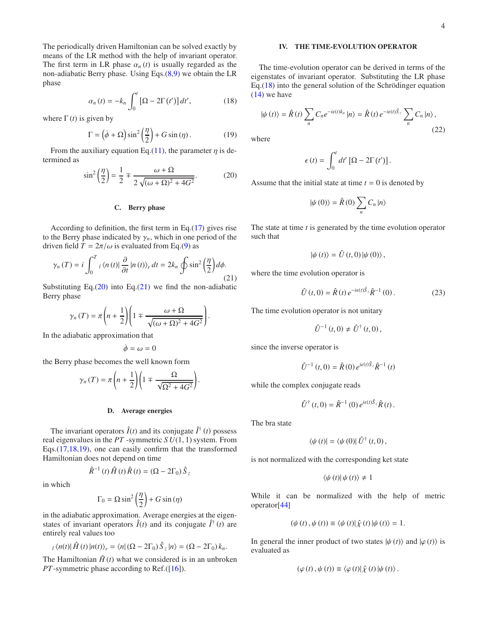The periodically driven Hamiltonian can be solved exactly by means of the LR method with the help of invariant operator. The first term in LR phase  $\alpha_n(t)$  is usually regarded as the non-adiabatic Berry phase. Using Eqs.[\(8,](#page-1-4)[9\)](#page-2-4) we obtain the LR phase

<span id="page-3-2"></span>
$$
\alpha_n(t) = -k_n \int_0^t \left[ \Omega - 2\Gamma(t') \right] dt',\qquad(18)
$$

where  $\Gamma(t)$  is given by

<span id="page-3-3"></span>
$$
\Gamma = \left(\dot{\phi} + \Omega\right)\sin^2\left(\frac{\eta}{2}\right) + G\sin\left(\eta\right). \tag{19}
$$

From the auxiliary equation Eq.[\(11\)](#page-2-5), the parameter  $\eta$  is determined as

<span id="page-3-0"></span>
$$
\sin^2\left(\frac{\eta}{2}\right) = \frac{1}{2} \mp \frac{\omega + \Omega}{2\sqrt{(\omega + \Omega)^2 + 4G^2}}.\tag{20}
$$

# C. Berry phase

According to definition, the first term in Eq.[\(17\)](#page-2-6) gives rise to the Berry phase indicated by  $\gamma_n$ , which in one period of the driven field  $T = 2\pi/\omega$  is evaluated from Eq.[\(9\)](#page-2-4) as

<span id="page-3-1"></span>
$$
\gamma_n(T) = i \int_0^T \log(n(t)) \frac{\partial}{\partial t} |n(t)\rangle_r dt = 2k_n \oint \sin^2\left(\frac{\eta}{2}\right) d\phi.
$$
\n(21)

Substituting Eq. $(20)$  into Eq. $(21)$  we find the non-adiabatic Berry phase

$$
\gamma_n(T) = \pi \left( n + \frac{1}{2} \right) \left( 1 \mp \frac{\omega + \Omega}{\sqrt{(\omega + \Omega)^2 + 4G^2}} \right).
$$

In the adiabatic approximation that

$$
\dot{\phi}=\omega=0
$$

the Berry phase becomes the well known form

$$
\gamma_{n}\left(T\right)=\pi\left(n+\frac{1}{2}\right)\left(1\mp\frac{\Omega}{\sqrt{\Omega^{2}+4G^{2}}}\right).
$$

#### D. Average energies

The invariant operators  $\hat{I}(t)$  and its conjugate  $\hat{I}^{\dagger}(t)$  possess real eigenvalues in the *PT* -symmetric *S U*(1, 1) system. From Eqs.[\(17,](#page-2-6)[18,](#page-3-2)[19\)](#page-3-3), one can easily confirm that the transformed Hamiltonian does not depend on time

 $\hat{R}^{-1}(t) \hat{H}(t) \hat{R}(t) = (\Omega - 2\Gamma_0) \hat{S}_z$ in which

$$
\Gamma_0 = \Omega \sin^2 \left(\frac{\eta}{2}\right) + G \sin(\eta)
$$

in the adiabatic approximation. Average energies at the eigenstates of invariant operators  $\hat{I}(t)$  and its conjugate  $\hat{I}^{\dagger}(t)$  are entirely real values too

$$
_{l}\langle n(t)|\hat{H}(t)|n(t)\rangle_{r}=\langle n|\left(\Omega-2\Gamma_{0}\right)\hat{S}_{z}|n\rangle=\left(\Omega-2\Gamma_{0}\right)k_{n}.
$$

The Hamiltonian  $\hat{H}(t)$  what we considered is in an unbroken *PT*-symmetric phase according to Ref.([\[16\]](#page-4-12)).

## IV. THE TIME-EVOLUTION OPERATOR

The time-evolution operator can be derived in terms of the eigenstates of invariant operator. Substituting the LR phase Eq. $(18)$  into the general solution of the Schrödinger equation  $(14)$  we have

$$
|\psi(t)\rangle = \hat{R}(t) \sum_{n} C_{n} e^{-i\epsilon(t)k_{n}} |n\rangle = \hat{R}(t) e^{-i\epsilon(t)\hat{S}_{z}} \sum_{n} C_{n} |n\rangle,
$$
\n(22)

where

$$
\epsilon(t) = \int_0^t dt' [\Omega - 2\Gamma(t')] .
$$

Assume that the initial state at time  $t = 0$  is denoted by

$$
|\psi(0)\rangle = \hat{R}(0) \sum_{n} C_{n} |n\rangle
$$

The state at time *t* is generated by the time evolution operator such that

$$
\left|\psi\left(t\right)\right\rangle = \hat{U}\left(t,0\right)\left|\psi\left(0\right)\right\rangle,
$$

where the time evolution operator is

$$
\hat{U}(t,0) = \hat{R}(t) e^{-i\epsilon(t)\hat{S}_z} \hat{R}^{-1}(0).
$$
 (23)

The time evolution operator is not unitary

$$
\hat{U}^{-1}(t,0) \neq \hat{U}^{\dagger}(t,0),
$$

since the inverse operator is

$$
\hat{U}^{-1}(t,0) = \hat{R}(0) e^{i\epsilon(t)\hat{S}_z} \hat{R}^{-1}(t)
$$

while the complex conjugate reads

$$
\hat{U}^{\dagger}(t,0) = \hat{R}^{-1}(0) e^{i\epsilon(t)\hat{S}_z} \hat{R}(t).
$$

The bra state

$$
\langle \psi(t)| = \langle \psi(0)| \hat{U}^{\dagger}(t,0),
$$

is not normalized with the corresponding ket state

$$
\left\langle \psi\left(t\right)\right|\psi\left(t\right)\right\rangle \neq1
$$

While it can be normalized with the help of metric operator[\[44\]](#page-4-36)

$$
(\psi(t), \psi(t)) \equiv \langle \psi(t) | \hat{\chi}(t) | \psi(t) \rangle = 1.
$$

In general the inner product of two states  $|\psi(t)\rangle$  and  $|\varphi(t)\rangle$  is evaluated as

$$
(\varphi(t), \psi(t)) \equiv \langle \varphi(t) | \hat{\chi}(t) | \psi(t) \rangle.
$$